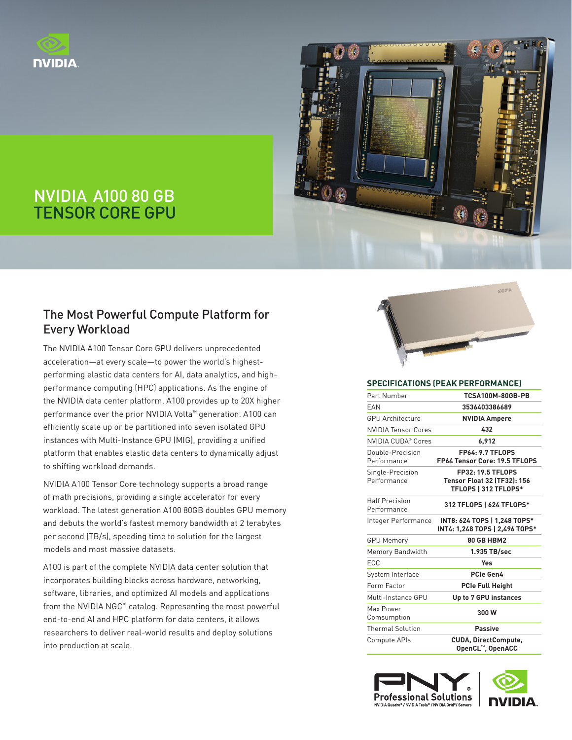



## NVIDIA A100 80 GB TENSOR CORE GPU

## The Most Powerful Compute Platform for Every Workload

The NVIDIA A100 Tensor Core GPU delivers unprecedented acceleration—at every scale—to power the world's highestperforming elastic data centers for AI, data analytics, and highperformance computing (HPC) applications. As the engine of the NVIDIA data center platform, A100 provides up to 20X higher performance over the prior NVIDIA Volta™ generation. A100 can efficiently scale up or be partitioned into seven isolated GPU instances with Multi-Instance GPU (MIG), providing a unified platform that enables elastic data centers to dynamically adjust to shifting workload demands.

NVIDIA A100 Tensor Core technology supports a broad range of math precisions, providing a single accelerator for every workload. The latest generation A100 80GB doubles GPU memory and debuts the world's fastest memory bandwidth at 2 terabytes per second (TB/s), speeding time to solution for the largest models and most massive datasets.

A100 is part of the complete NVIDIA data center solution that incorporates building blocks across hardware, networking, software, libraries, and optimized AI models and applications from the NVIDIA NGC™ catalog. Representing the most powerful end-to-end AI and HPC platform for data centers, it allows researchers to deliver real-world results and deploy solutions into production at scale.



#### **SPECIFICATIONS (PEAK PERFORMANCE)**

| Part Number                          | <b>TCSA100M-80GB-PB</b>                                                                |  |  |
|--------------------------------------|----------------------------------------------------------------------------------------|--|--|
| <b>FAN</b>                           | 3536403386689                                                                          |  |  |
| <b>GPU Architecture</b>              | <b>NVIDIA Ampere</b>                                                                   |  |  |
| <b>NVIDIA Tensor Cores</b>           | 432                                                                                    |  |  |
| NVIDIA CUDA® Cores                   | 6,912                                                                                  |  |  |
| Double-Precision<br>Performance      | <b>FP64: 9.7 TFLOPS</b><br>FP64 Tensor Core: 19.5 TFLOPS                               |  |  |
| Single-Precision<br>Performance      | <b>FP32: 19.5 TFLOPS</b><br><b>Tensor Float 32 (TF32): 156</b><br>TFLOPS   312 TFLOPS* |  |  |
| <b>Half Precision</b><br>Performance | 312 TFLOPS   624 TFLOPS*                                                               |  |  |
| Integer Performance                  | INT8: 624 TOPS   1,248 TOPS*<br>INT4: 1,248 TOPS   2,496 TOPS*                         |  |  |
| <b>GPU Memory</b>                    | 80 GB HBM2                                                                             |  |  |
| Memory Bandwidth                     | 1.935 TB/sec                                                                           |  |  |
| ECC                                  | Yes                                                                                    |  |  |
| System Interface                     | PCIe Gen4                                                                              |  |  |
| Form Factor                          | <b>PCIe Full Height</b>                                                                |  |  |
| Multi-Instance GPU                   | Up to 7 GPU instances                                                                  |  |  |
| Max Power<br>Comsumption             | 300W                                                                                   |  |  |
| <b>Thermal Solution</b>              | <b>Passive</b>                                                                         |  |  |
| Compute APIs                         | <b>CUDA, DirectCompute,</b><br>OpenCL™, OpenACC                                        |  |  |

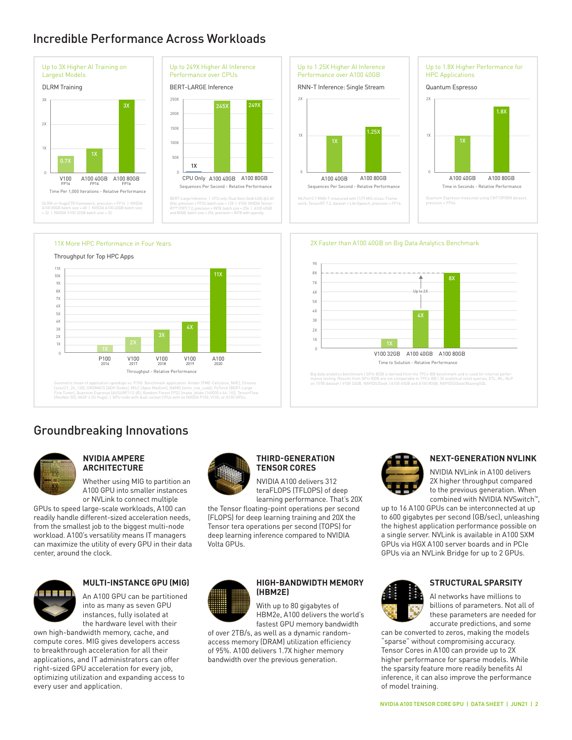## Incredible Performance Across Workloads





BERT-Large Inference | CPU only: Dual Xeon Gold 6240 @2.60<br>GHz, precision = FP32, batch size = 128 | V100: NVIDIA Tensor-<br>RT™ (TRT) 7.2, precision = INT8, batch size = 256 | A100 40GB<br>and 80GB, batch size = 256, precision







Geometric mean of application speedups vs. P100: Benchmark application: Amber (PME-Cellulose, NVE), Chroma<br>[szsci21\_24\_128], GROMAC'S (ADH Dodec), MILC (Apex Medium), NAMO [stmv\_nve\_cuda], PyTorch (BERT-Large<br>Fines Tunes (

## Groundbreaking Innovations



#### **NVIDIA AMPERE ARCHITECTURE**

Whether using MIG to partition an A100 GPU into smaller instances or NVLink to connect multiple

GPUs to speed large-scale workloads, A100 can readily handle different-sized acceleration needs, from the smallest job to the biggest multi-node workload. A100's versatility means IT managers can maximize the utility of every GPU in their data center, around the clock.



#### **MULTI-INSTANCE GPU (MIG)**

An A100 GPU can be partitioned into as many as seven GPU instances, fully isolated at the hardware level with their

own high-bandwidth memory, cache, and compute cores. MIG gives developers access to breakthrough acceleration for all their applications, and IT administrators can offer right-sized GPU acceleration for every job, optimizing utilization and expanding access to every user and application.



#### **THIRD-GENERATION TENSOR CORES**

NVIDIA A100 delivers 312 teraFLOPS (TFLOPS) of deep

1X 2X 3X 4X 5X

9X 8X 7X 6X

learning performance. That's 20X the Tensor floating-point operations per second (FLOPS) for deep learning training and 20X the Tensor tera operations per second (TOPS) for deep learning inference compared to NVIDIA Volta GPUs.



#### **HIGH-BANDWIDTH MEMORY (HBM2E)**

With up to 80 gigabytes of HBM2e, A100 delivers the world's fastest GPU memory bandwidth

of over 2TB/s, as well as a dynamic randomaccess memory (DRAM) utilization efficiency of 95%. A100 delivers 1.7X higher memory bandwidth over the previous generation.



Time to Solution - Relative Performance

Big data analytics benchmark | GPU-BDB is derived from the TPCx-BB benchmark and is used for internal perfor-<br>mance testing. Results from GPU-BDB are not comparable to TPCx-BB | 30 analytical retail queries, ETL, ML, NLP<br>o

V100 32GB A100 40GB A100 80GB

Up to 2X

2X Faster than A100 40GB on Big Data Analytics Benchmark

8X

#### **NEXT-GENERATION NVLINK**

NVIDIA NVLink in A100 delivers 2X higher throughput compared to the previous generation. When combined with NVIDIA NVSwitch™,

up to 16 A100 GPUs can be interconnected at up to 600 gigabytes per second (GB/sec), unleashing the highest application performance possible on a single server. NVLink is available in A100 SXM GPUs via HGX A100 server boards and in PCIe GPUs via an NVLink Bridge for up to 2 GPUs.



#### **STRUCTURAL SPARSITY**

AI networks have millions to billions of parameters. Not all of these parameters are needed for accurate predictions, and some

can be converted to zeros, making the models "sparse" without compromising accuracy. Tensor Cores in A100 can provide up to 2X higher performance for sparse models. While the sparsity feature more readily benefits AI inference, it can also improve the performance of model training.